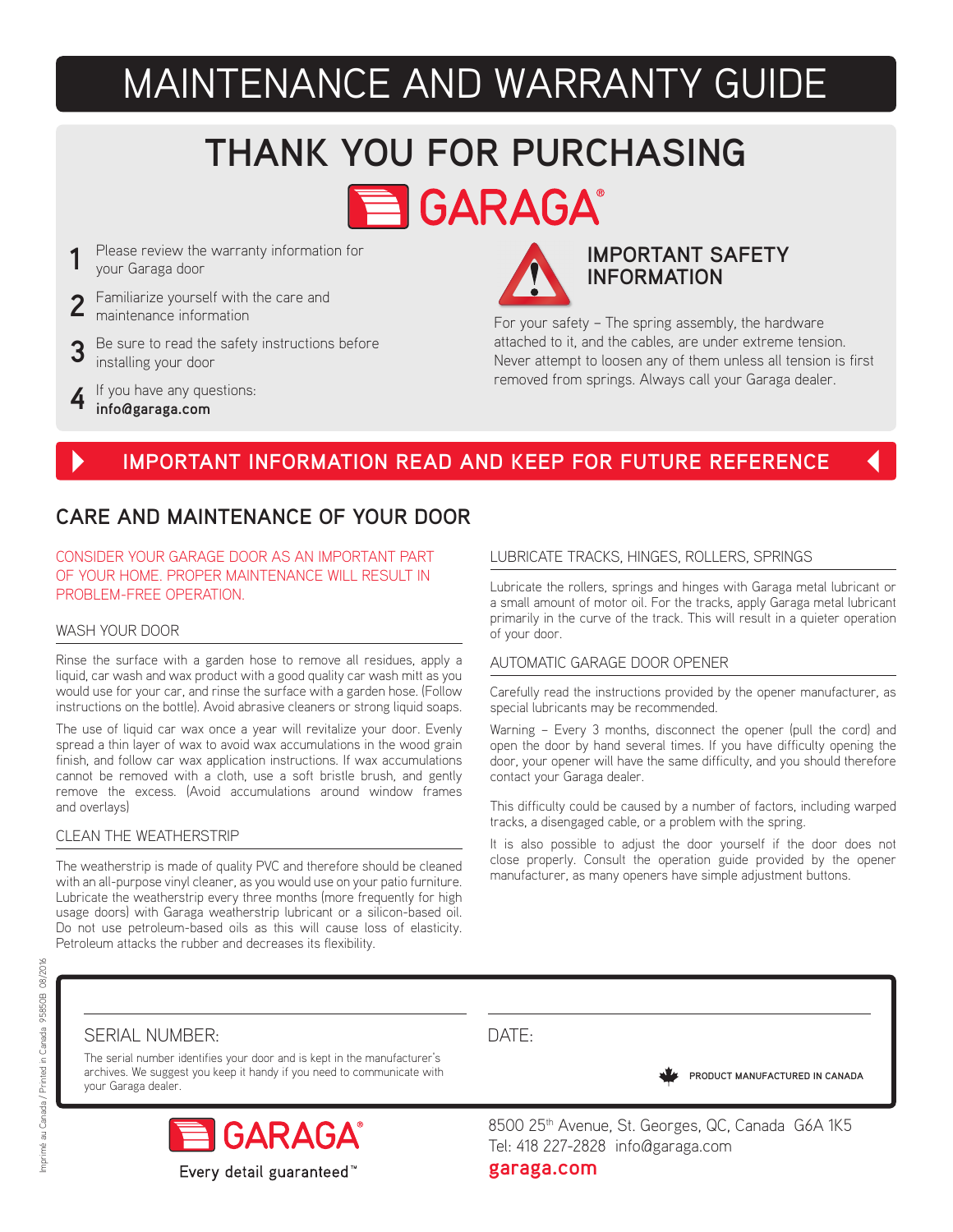## MAINTENANCE AND WARRANTY GUIDE

# **THANK YOU FOR PURCHASING**

**E GARAGA** 

- **1** Please review the warranty information for your Garaga door
- 2 Familiarize yourself with the care and maintenance information
- **3** Be sure to read the safety instructions before installing your door
- **4** If you have any questions: **info@garaga.com**



### **IMPORTANT SAFETY INFORMATION**

For your safety – The spring assembly, the hardware attached to it, and the cables, are under extreme tension. Never attempt to loosen any of them unless all tension is first removed from springs. Always call your Garaga dealer.

## **IMPORTANT INFORMATION READ AND KEEP FOR FUTURE REFERENCE**

### **CARE AND MAINTENANCE OF YOUR DOOR**

CONSIDER YOUR GARAGE DOOR AS AN IMPORTANT PART OF YOUR HOME. PROPER MAINTENANCE WILL RESULT IN PROBLEM-FREE OPERATION.

#### WASH YOUR DOOR

Rinse the surface with a garden hose to remove all residues, apply a liquid, car wash and wax product with a good quality car wash mitt as you would use for your car, and rinse the surface with a garden hose. (Follow instructions on the bottle). Avoid abrasive cleaners or strong liquid soaps.

The use of liquid car wax once a year will revitalize your door. Evenly spread a thin layer of wax to avoid wax accumulations in the wood grain finish, and follow car wax application instructions. If wax accumulations cannot be removed with a cloth, use a soft bristle brush, and gently remove the excess. (Avoid accumulations around window frames and overlays)

#### CLEAN THE WEATHERSTRIP

The weatherstrip is made of quality PVC and therefore should be cleaned with an all-purpose vinyl cleaner, as you would use on your patio furniture. Lubricate the weatherstrip every three months (more frequently for high usage doors) with Garaga weatherstrip lubricant or a silicon-based oil. Do not use petroleum-based oils as this will cause loss of elasticity. Petroleum attacks the rubber and decreases its flexibility.

#### LUBRICATE TRACKS, HINGES, ROLLERS, SPRINGS

Lubricate the rollers, springs and hinges with Garaga metal lubricant or a small amount of motor oil. For the tracks, apply Garaga metal lubricant primarily in the curve of the track. This will result in a quieter operation of your door.

#### AUTOMATIC GARAGE DOOR OPENER

Carefully read the instructions provided by the opener manufacturer, as special lubricants may be recommended.

Warning – Every 3 months, disconnect the opener (pull the cord) and open the door by hand several times. If you have difficulty opening the door, your opener will have the same difficulty, and you should therefore contact your Garaga dealer.

This difficulty could be caused by a number of factors, including warped tracks, a disengaged cable, or a problem with the spring.

It is also possible to adjust the door yourself if the door does not close properly. Consult the operation guide provided by the opener manufacturer, as many openers have simple adjustment buttons.

#### SERIAL NUMBER:

The serial number identifies your door and is kept in the manufacturer's archives. We suggest you keep it handy if you need to communicate with your Garaga dealer.



## DATE:

**PRODUCT MANUFACTURED IN CANADA**

8500 25<sup>th</sup> Avenue, St. Georges, QC, Canada G6A 1K5 Tel: 418 227-2828 info@garaga.com

**garaga.com**